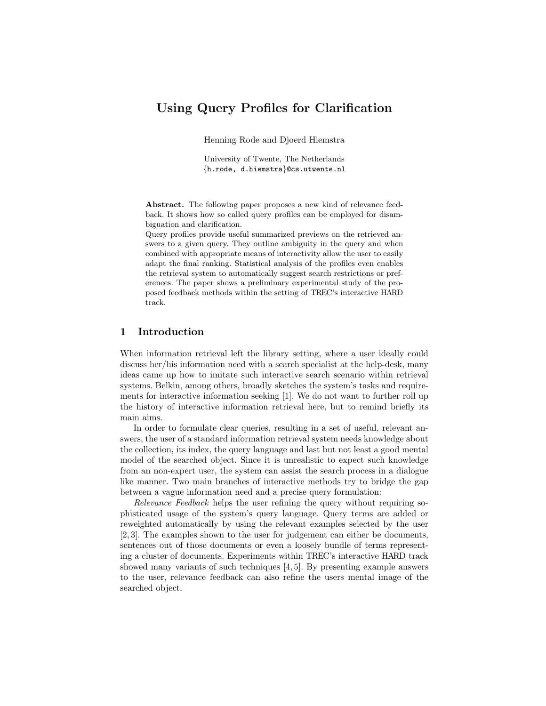# Using Query Profiles for Clarification

Henning Rode and Djoerd Hiemstra

University of Twente, The Netherlands {h.rode, d.hiemstra}@cs.utwente.nl

Abstract. The following paper proposes a new kind of relevance feedback. It shows how so called query profiles can be employed for disambiguation and clarification.

Query profiles provide useful summarized previews on the retrieved answers to a given query. They outline ambiguity in the query and when combined with appropriate means of interactivity allow the user to easily adapt the final ranking. Statistical analysis of the profiles even enables the retrieval system to automatically suggest search restrictions or preferences. The paper shows a preliminary experimental study of the proposed feedback methods within the setting of TREC's interactive HARD track.

## 1 Introduction

When information retrieval left the library setting, where a user ideally could discuss her/his information need with a search specialist at the help-desk, many ideas came up how to imitate such interactive search scenario within retrieval systems. Belkin, among others, broadly sketches the system's tasks and requirements for interactive information seeking [1]. We do not want to further roll up the history of interactive information retrieval here, but to remind briefly its main aims.

In order to formulate clear queries, resulting in a set of useful, relevant answers, the user of a standard information retrieval system needs knowledge about the collection, its index, the query language and last but not least a good mental model of the searched object. Since it is unrealistic to expect such knowledge from an non-expert user, the system can assist the search process in a dialogue like manner. Two main branches of interactive methods try to bridge the gap between a vague information need and a precise query formulation:

Relevance Feedback helps the user refining the query without requiring sophisticated usage of the system's query language. Query terms are added or reweighted automatically by using the relevant examples selected by the user [2, 3]. The examples shown to the user for judgement can either be documents, sentences out of those documents or even a loosely bundle of terms representing a cluster of documents. Experiments within TREC's interactive HARD track showed many variants of such techniques  $[4, 5]$ . By presenting example answers to the user, relevance feedback can also refine the users mental image of the searched object.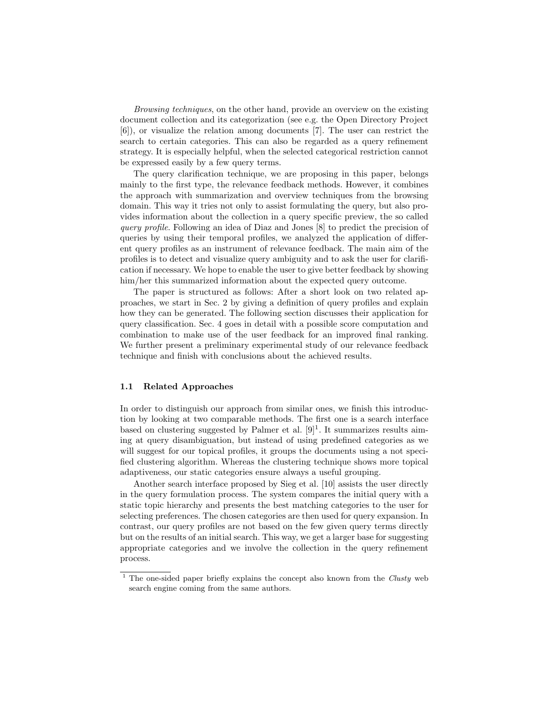Browsing techniques, on the other hand, provide an overview on the existing document collection and its categorization (see e.g. the Open Directory Project [6]), or visualize the relation among documents [7]. The user can restrict the search to certain categories. This can also be regarded as a query refinement strategy. It is especially helpful, when the selected categorical restriction cannot be expressed easily by a few query terms.

The query clarification technique, we are proposing in this paper, belongs mainly to the first type, the relevance feedback methods. However, it combines the approach with summarization and overview techniques from the browsing domain. This way it tries not only to assist formulating the query, but also provides information about the collection in a query specific preview, the so called query profile. Following an idea of Diaz and Jones [8] to predict the precision of queries by using their temporal profiles, we analyzed the application of different query profiles as an instrument of relevance feedback. The main aim of the profiles is to detect and visualize query ambiguity and to ask the user for clarification if necessary. We hope to enable the user to give better feedback by showing him/her this summarized information about the expected query outcome.

The paper is structured as follows: After a short look on two related approaches, we start in Sec. 2 by giving a definition of query profiles and explain how they can be generated. The following section discusses their application for query classification. Sec. 4 goes in detail with a possible score computation and combination to make use of the user feedback for an improved final ranking. We further present a preliminary experimental study of our relevance feedback technique and finish with conclusions about the achieved results.

### 1.1 Related Approaches

In order to distinguish our approach from similar ones, we finish this introduction by looking at two comparable methods. The first one is a search interface based on clustering suggested by Palmer et al.  $[9]^1$ . It summarizes results aiming at query disambiguation, but instead of using predefined categories as we will suggest for our topical profiles, it groups the documents using a not specified clustering algorithm. Whereas the clustering technique shows more topical adaptiveness, our static categories ensure always a useful grouping.

Another search interface proposed by Sieg et al. [10] assists the user directly in the query formulation process. The system compares the initial query with a static topic hierarchy and presents the best matching categories to the user for selecting preferences. The chosen categories are then used for query expansion. In contrast, our query profiles are not based on the few given query terms directly but on the results of an initial search. This way, we get a larger base for suggesting appropriate categories and we involve the collection in the query refinement process.

 $1$  The one-sided paper briefly explains the concept also known from the *Clusty* web search engine coming from the same authors.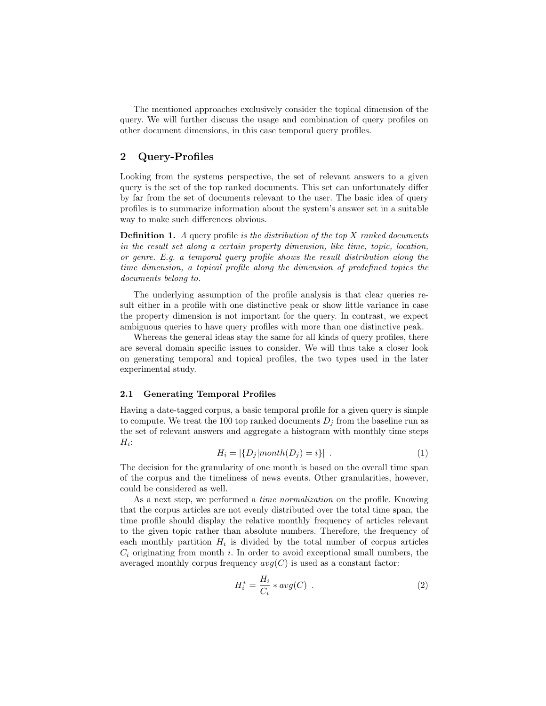The mentioned approaches exclusively consider the topical dimension of the query. We will further discuss the usage and combination of query profiles on other document dimensions, in this case temporal query profiles.

## 2 Query-Profiles

Looking from the systems perspective, the set of relevant answers to a given query is the set of the top ranked documents. This set can unfortunately differ by far from the set of documents relevant to the user. The basic idea of query profiles is to summarize information about the system's answer set in a suitable way to make such differences obvious.

**Definition 1.** A query profile is the distribution of the top  $X$  ranked documents in the result set along a certain property dimension, like time, topic, location, or genre. E.g. a temporal query profile shows the result distribution along the time dimension, a topical profile along the dimension of predefined topics the documents belong to.

The underlying assumption of the profile analysis is that clear queries result either in a profile with one distinctive peak or show little variance in case the property dimension is not important for the query. In contrast, we expect ambiguous queries to have query profiles with more than one distinctive peak.

Whereas the general ideas stay the same for all kinds of query profiles, there are several domain specific issues to consider. We will thus take a closer look on generating temporal and topical profiles, the two types used in the later experimental study.

#### 2.1 Generating Temporal Profiles

Having a date-tagged corpus, a basic temporal profile for a given query is simple to compute. We treat the 100 top ranked documents  $D_j$  from the baseline run as the set of relevant answers and aggregate a histogram with monthly time steps  $H_i$ :

$$
H_i = |\{D_j | month(D_j) = i\}| \tag{1}
$$

The decision for the granularity of one month is based on the overall time span of the corpus and the timeliness of news events. Other granularities, however, could be considered as well.

As a next step, we performed a time normalization on the profile. Knowing that the corpus articles are not evenly distributed over the total time span, the time profile should display the relative monthly frequency of articles relevant to the given topic rather than absolute numbers. Therefore, the frequency of each monthly partition  $H_i$  is divided by the total number of corpus articles  $C_i$  originating from month i. In order to avoid exceptional small numbers, the averaged monthly corpus frequency  $avg(C)$  is used as a constant factor:

$$
H_i^* = \frac{H_i}{C_i} * avg(C) . \qquad (2)
$$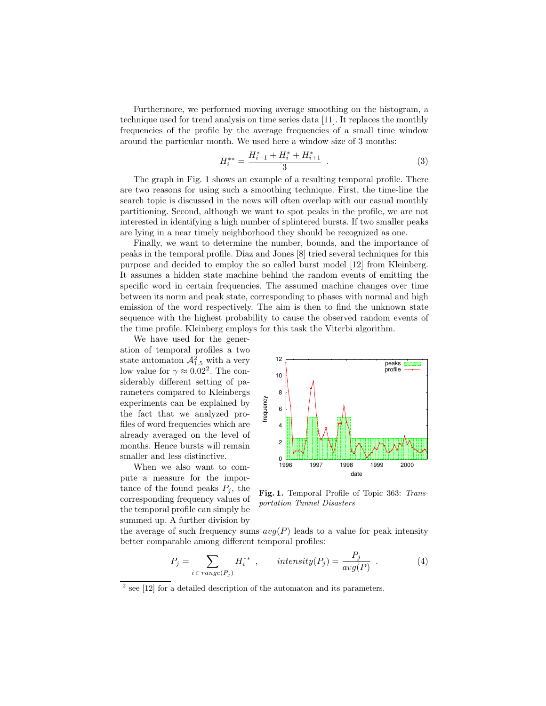Furthermore, we performed moving average smoothing on the histogram, a technique used for trend analysis on time series data [11]. It replaces the monthly frequencies of the profile by the average frequencies of a small time window around the particular month. We used here a window size of 3 months:

$$
H_i^{**} = \frac{H_{i-1}^* + H_i^* + H_{i+1}^*}{3} \tag{3}
$$

The graph in Fig. 1 shows an example of a resulting temporal profile. There are two reasons for using such a smoothing technique. First, the time-line the search topic is discussed in the news will often overlap with our casual monthly partitioning. Second, although we want to spot peaks in the profile, we are not interested in identifying a high number of splintered bursts. If two smaller peaks are lying in a near timely neighborhood they should be recognized as one.

Finally, we want to determine the number, bounds, and the importance of peaks in the temporal profile. Diaz and Jones [8] tried several techniques for this purpose and decided to employ the so called burst model [12] from Kleinberg. It assumes a hidden state machine behind the random events of emitting the specific word in certain frequencies. The assumed machine changes over time between its norm and peak state, corresponding to phases with normal and high emission of the word respectively. The aim is then to find the unknown state sequence with the highest probability to cause the observed random events of the time profile. Kleinberg employs for this task the Viterbi algorithm.

We have used for the generation of temporal profiles a two state automaton  $\mathcal{A}^2_{1.5}$  with a very low value for  $\gamma \approx 0.02^2$ . The considerably different setting of parameters compared to Kleinbergs experiments can be explained by the fact that we analyzed profiles of word frequencies which are already averaged on the level of months. Hence bursts will remain smaller and less distinctive.

When we also want to compute a measure for the importance of the found peaks  $P_j$ , the corresponding frequency values of the temporal profile can simply be summed up. A further division by



Fig. 1. Temporal Profile of Topic 363: Transportation Tunnel Disasters

the average of such frequency sums  $avg(P)$  leads to a value for peak intensity better comparable among different temporal profiles:

$$
P_j = \sum_{i \in range(P_j)} H_i^{**} , \quad intensity(P_j) = \frac{P_j}{avg(P)} . \tag{4}
$$

 $2$  see [12] for a detailed description of the automaton and its parameters.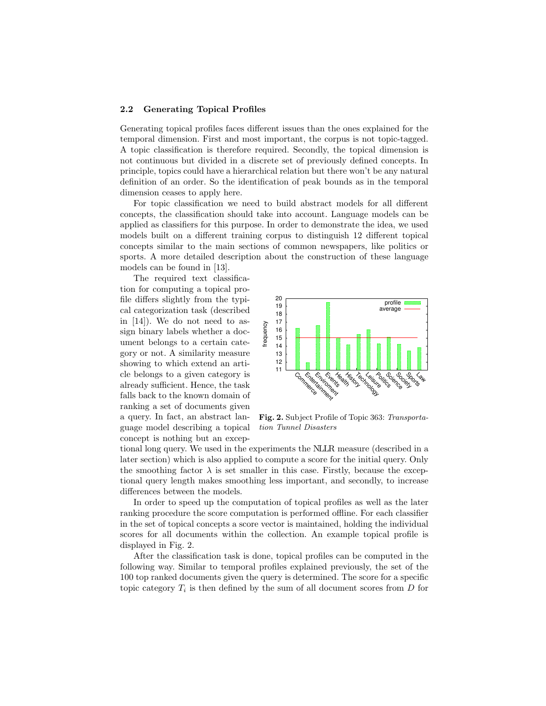#### 2.2 Generating Topical Profiles

Generating topical profiles faces different issues than the ones explained for the temporal dimension. First and most important, the corpus is not topic-tagged. A topic classification is therefore required. Secondly, the topical dimension is not continuous but divided in a discrete set of previously defined concepts. In principle, topics could have a hierarchical relation but there won't be any natural definition of an order. So the identification of peak bounds as in the temporal dimension ceases to apply here.

For topic classification we need to build abstract models for all different concepts, the classification should take into account. Language models can be applied as classifiers for this purpose. In order to demonstrate the idea, we used models built on a different training corpus to distinguish 12 different topical concepts similar to the main sections of common newspapers, like politics or sports. A more detailed description about the construction of these language models can be found in [13].

The required text classification for computing a topical profile differs slightly from the typical categorization task (described in [14]). We do not need to assign binary labels whether a document belongs to a certain category or not. A similarity measure showing to which extend an article belongs to a given category is already sufficient. Hence, the task falls back to the known domain of ranking a set of documents given a query. In fact, an abstract language model describing a topical concept is nothing but an excep-



Fig. 2. Subject Profile of Topic 363: Transportation Tunnel Disasters

tional long query. We used in the experiments the NLLR measure (described in a later section) which is also applied to compute a score for the initial query. Only the smoothing factor  $\lambda$  is set smaller in this case. Firstly, because the exceptional query length makes smoothing less important, and secondly, to increase differences between the models.

In order to speed up the computation of topical profiles as well as the later ranking procedure the score computation is performed offline. For each classifier in the set of topical concepts a score vector is maintained, holding the individual scores for all documents within the collection. An example topical profile is displayed in Fig. 2.

After the classification task is done, topical profiles can be computed in the following way. Similar to temporal profiles explained previously, the set of the 100 top ranked documents given the query is determined. The score for a specific topic category  $T_i$  is then defined by the sum of all document scores from  $D$  for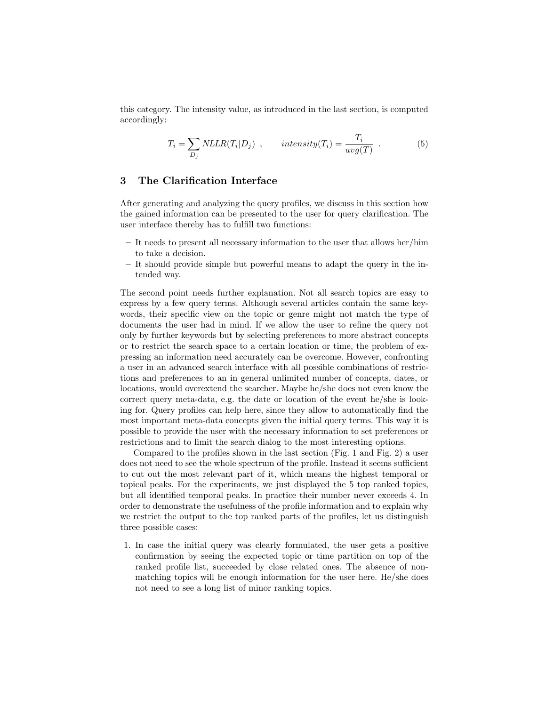this category. The intensity value, as introduced in the last section, is computed accordingly:

$$
T_i = \sum_{D_j} NLLR(T_i|D_j) , \quad intensity(T_i) = \frac{T_i}{avg(T)} . \tag{5}
$$

## 3 The Clarification Interface

After generating and analyzing the query profiles, we discuss in this section how the gained information can be presented to the user for query clarification. The user interface thereby has to fulfill two functions:

- It needs to present all necessary information to the user that allows her/him to take a decision.
- It should provide simple but powerful means to adapt the query in the intended way.

The second point needs further explanation. Not all search topics are easy to express by a few query terms. Although several articles contain the same keywords, their specific view on the topic or genre might not match the type of documents the user had in mind. If we allow the user to refine the query not only by further keywords but by selecting preferences to more abstract concepts or to restrict the search space to a certain location or time, the problem of expressing an information need accurately can be overcome. However, confronting a user in an advanced search interface with all possible combinations of restrictions and preferences to an in general unlimited number of concepts, dates, or locations, would overextend the searcher. Maybe he/she does not even know the correct query meta-data, e.g. the date or location of the event he/she is looking for. Query profiles can help here, since they allow to automatically find the most important meta-data concepts given the initial query terms. This way it is possible to provide the user with the necessary information to set preferences or restrictions and to limit the search dialog to the most interesting options.

Compared to the profiles shown in the last section (Fig. 1 and Fig. 2) a user does not need to see the whole spectrum of the profile. Instead it seems sufficient to cut out the most relevant part of it, which means the highest temporal or topical peaks. For the experiments, we just displayed the 5 top ranked topics, but all identified temporal peaks. In practice their number never exceeds 4. In order to demonstrate the usefulness of the profile information and to explain why we restrict the output to the top ranked parts of the profiles, let us distinguish three possible cases:

1. In case the initial query was clearly formulated, the user gets a positive confirmation by seeing the expected topic or time partition on top of the ranked profile list, succeeded by close related ones. The absence of nonmatching topics will be enough information for the user here. He/she does not need to see a long list of minor ranking topics.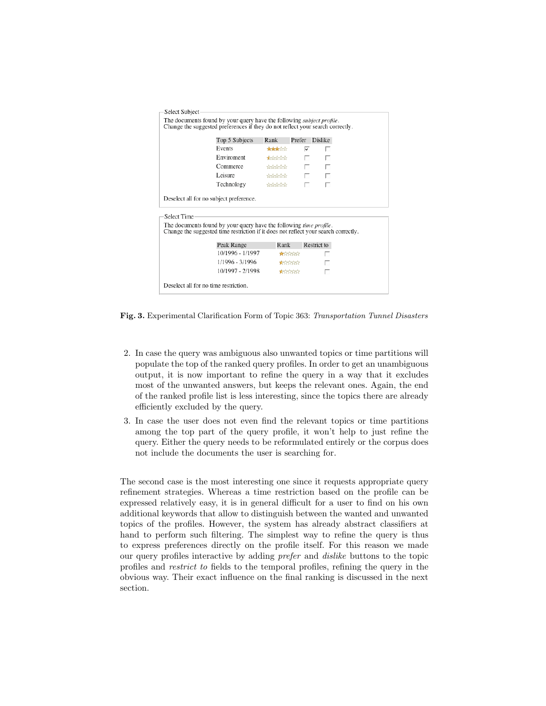|                                                        | Top 5 Subjects                                                                                                                                                    | Rank            |               | Prefer Dislike |
|--------------------------------------------------------|-------------------------------------------------------------------------------------------------------------------------------------------------------------------|-----------------|---------------|----------------|
|                                                        | Events                                                                                                                                                            | ******          | ⊽             |                |
|                                                        | Enviroment                                                                                                                                                        | <b>A</b> nanana |               | п.             |
|                                                        | Commerce                                                                                                                                                          | $\frac{1}{2}$   |               | г              |
|                                                        | Leisure                                                                                                                                                           | $\frac{1}{2}$   |               |                |
|                                                        | Technology                                                                                                                                                        | $\frac{1}{2}$   |               |                |
| Deselect all for no subject preference.<br>Select Time |                                                                                                                                                                   |                 |               |                |
|                                                        | The documents found by your query have the following <i>time profile</i> .<br>Change the suggested time restriction if it does not reflect your search correctly. |                 |               |                |
|                                                        | Peak Range                                                                                                                                                        | Rank            |               | Restrict to    |
|                                                        | 10/1996 - 1/1997                                                                                                                                                  | $\bigstar$      |               |                |
|                                                        | 1/1996 - 3/1996                                                                                                                                                   |                 | $\frac{1}{2}$ |                |

Fig. 3. Experimental Clarification Form of Topic 363: Transportation Tunnel Disasters

- 2. In case the query was ambiguous also unwanted topics or time partitions will populate the top of the ranked query profiles. In order to get an unambiguous output, it is now important to refine the query in a way that it excludes most of the unwanted answers, but keeps the relevant ones. Again, the end of the ranked profile list is less interesting, since the topics there are already efficiently excluded by the query.
- 3. In case the user does not even find the relevant topics or time partitions among the top part of the query profile, it won't help to just refine the query. Either the query needs to be reformulated entirely or the corpus does not include the documents the user is searching for.

The second case is the most interesting one since it requests appropriate query refinement strategies. Whereas a time restriction based on the profile can be expressed relatively easy, it is in general difficult for a user to find on his own additional keywords that allow to distinguish between the wanted and unwanted topics of the profiles. However, the system has already abstract classifiers at hand to perform such filtering. The simplest way to refine the query is thus to express preferences directly on the profile itself. For this reason we made our query profiles interactive by adding prefer and dislike buttons to the topic profiles and restrict to fields to the temporal profiles, refining the query in the obvious way. Their exact influence on the final ranking is discussed in the next section.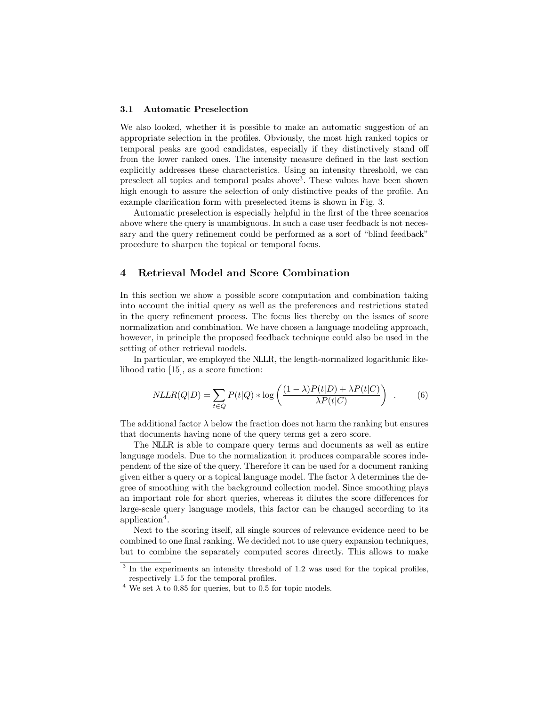#### 3.1 Automatic Preselection

We also looked, whether it is possible to make an automatic suggestion of an appropriate selection in the profiles. Obviously, the most high ranked topics or temporal peaks are good candidates, especially if they distinctively stand off from the lower ranked ones. The intensity measure defined in the last section explicitly addresses these characteristics. Using an intensity threshold, we can preselect all topics and temporal peaks above<sup>3</sup> . These values have been shown high enough to assure the selection of only distinctive peaks of the profile. An example clarification form with preselected items is shown in Fig. 3.

Automatic preselection is especially helpful in the first of the three scenarios above where the query is unambiguous. In such a case user feedback is not necessary and the query refinement could be performed as a sort of "blind feedback" procedure to sharpen the topical or temporal focus.

## 4 Retrieval Model and Score Combination

In this section we show a possible score computation and combination taking into account the initial query as well as the preferences and restrictions stated in the query refinement process. The focus lies thereby on the issues of score normalization and combination. We have chosen a language modeling approach, however, in principle the proposed feedback technique could also be used in the setting of other retrieval models.

In particular, we employed the NLLR, the length-normalized logarithmic likelihood ratio [15], as a score function:

$$
NLLR(Q|D) = \sum_{t \in Q} P(t|Q) * \log \left( \frac{(1-\lambda)P(t|D) + \lambda P(t|C)}{\lambda P(t|C)} \right) . \tag{6}
$$

The additional factor  $\lambda$  below the fraction does not harm the ranking but ensures that documents having none of the query terms get a zero score.

The NLLR is able to compare query terms and documents as well as entire language models. Due to the normalization it produces comparable scores independent of the size of the query. Therefore it can be used for a document ranking given either a query or a topical language model. The factor  $\lambda$  determines the degree of smoothing with the background collection model. Since smoothing plays an important role for short queries, whereas it dilutes the score differences for large-scale query language models, this factor can be changed according to its application<sup>4</sup>.

Next to the scoring itself, all single sources of relevance evidence need to be combined to one final ranking. We decided not to use query expansion techniques, but to combine the separately computed scores directly. This allows to make

<sup>&</sup>lt;sup>3</sup> In the experiments an intensity threshold of 1.2 was used for the topical profiles, respectively 1.5 for the temporal profiles.

<sup>&</sup>lt;sup>4</sup> We set  $\lambda$  to 0.85 for queries, but to 0.5 for topic models.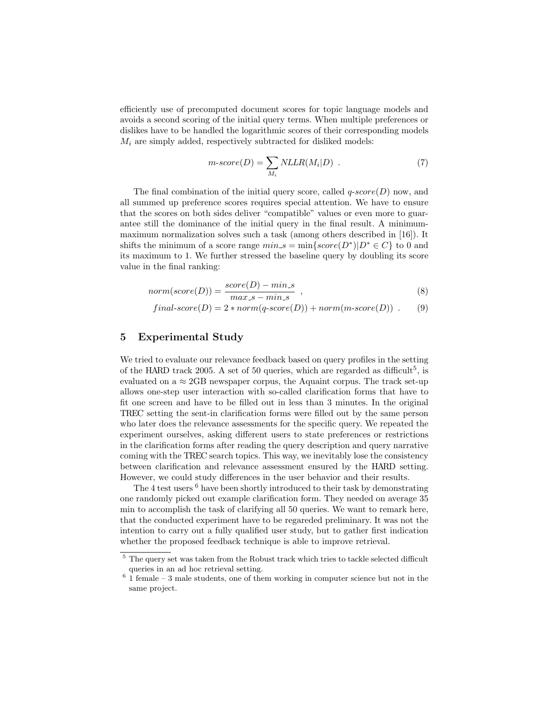efficiently use of precomputed document scores for topic language models and avoids a second scoring of the initial query terms. When multiple preferences or dislikes have to be handled the logarithmic scores of their corresponding models  $M_i$  are simply added, respectively subtracted for disliked models:

$$
m\text{-}score(D) = \sum_{M_i} NLLR(M_i|D) . \qquad (7)
$$

The final combination of the initial query score, called  $q\text{-}score(D)$  now, and all summed up preference scores requires special attention. We have to ensure that the scores on both sides deliver "compatible" values or even more to guarantee still the dominance of the initial query in the final result. A minimummaximum normalization solves such a task (among others described in [16]). It shifts the minimum of a score range  $min_s = min\{score(D^*)|D^* \in C\}$  to 0 and its maximum to 1. We further stressed the baseline query by doubling its score value in the final ranking:

$$
norm(score(D)) = \frac{score(D) - min_s}{max_s - min_s} , \qquad (8)
$$

$$
final-score(D) = 2 * norm(q-score(D)) + norm(m-score(D)) .
$$
 (9)

## 5 Experimental Study

We tried to evaluate our relevance feedback based on query profiles in the setting of the HARD track 2005. A set of 50 queries, which are regarded as difficult<sup>5</sup>, is evaluated on  $a \approx 2GB$  newspaper corpus, the Aquaint corpus. The track set-up allows one-step user interaction with so-called clarification forms that have to fit one screen and have to be filled out in less than 3 minutes. In the original TREC setting the sent-in clarification forms were filled out by the same person who later does the relevance assessments for the specific query. We repeated the experiment ourselves, asking different users to state preferences or restrictions in the clarification forms after reading the query description and query narrative coming with the TREC search topics. This way, we inevitably lose the consistency between clarification and relevance assessment ensured by the HARD setting. However, we could study differences in the user behavior and their results.

The 4 test users <sup>6</sup> have been shortly introduced to their task by demonstrating one randomly picked out example clarification form. They needed on average 35 min to accomplish the task of clarifying all 50 queries. We want to remark here, that the conducted experiment have to be regareded preliminary. It was not the intention to carry out a fully qualified user study, but to gather first indication whether the proposed feedback technique is able to improve retrieval.

 $5$  The query set was taken from the Robust track which tries to tackle selected difficult queries in an ad hoc retrieval setting.

 $6$  1 female  $-3$  male students, one of them working in computer science but not in the same project.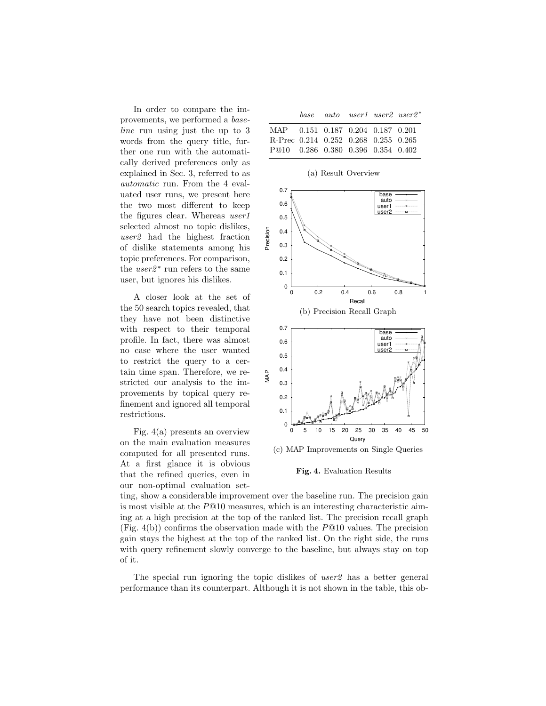In order to compare the improvements, we performed a baseline run using just the up to 3 words from the query title, further one run with the automatically derived preferences only as explained in Sec. 3, referred to as automatic run. From the 4 evaluated user runs, we present here the two most different to keep the figures clear. Whereas user1 selected almost no topic dislikes, user2 had the highest fraction of dislike statements among his topic preferences. For comparison, the  $user2^*$  run refers to the same user, but ignores his dislikes.

A closer look at the set of the 50 search topics revealed, that they have not been distinctive with respect to their temporal profile. In fact, there was almost no case where the user wanted to restrict the query to a certain time span. Therefore, we restricted our analysis to the improvements by topical query refinement and ignored all temporal restrictions.

Fig. 4(a) presents an overview on the main evaluation measures computed for all presented runs. At a first glance it is obvious that the refined queries, even in our non-optimal evaluation set-

|                                      |  |  | $base \quad auto \quad user1 \; user2 \; user2^*$ |
|--------------------------------------|--|--|---------------------------------------------------|
| MAP 0.151 0.187 0.204 0.187 0.201    |  |  |                                                   |
| R-Prec 0.214 0.252 0.268 0.255 0.265 |  |  |                                                   |
| P@10 0.286 0.380 0.396 0.354 0.402   |  |  |                                                   |

#### (a) Result Overview



(c) MAP Improvements on Single Queries

Fig. 4. Evaluation Results

ting, show a considerable improvement over the baseline run. The precision gain is most visible at the  $P@10$  measures, which is an interesting characteristic aiming at a high precision at the top of the ranked list. The precision recall graph (Fig. 4(b)) confirms the observation made with the  $P@10$  values. The precision gain stays the highest at the top of the ranked list. On the right side, the runs with query refinement slowly converge to the baseline, but always stay on top of it.

Precision

MAP

The special run ignoring the topic dislikes of user2 has a better general performance than its counterpart. Although it is not shown in the table, this ob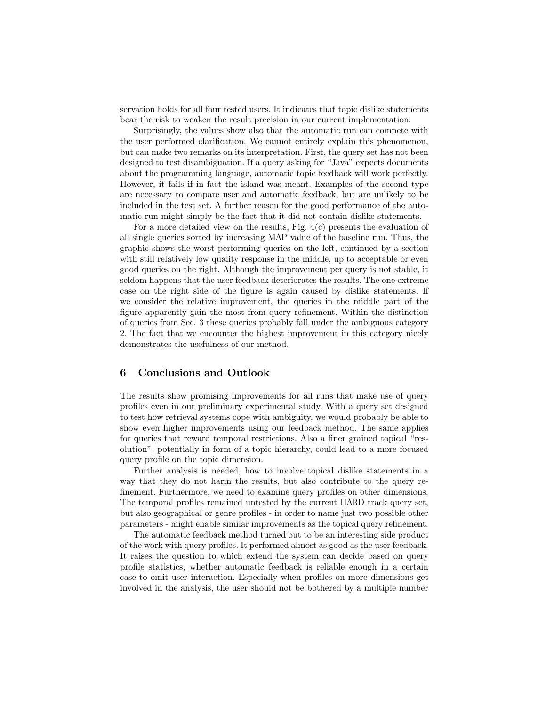servation holds for all four tested users. It indicates that topic dislike statements bear the risk to weaken the result precision in our current implementation.

Surprisingly, the values show also that the automatic run can compete with the user performed clarification. We cannot entirely explain this phenomenon, but can make two remarks on its interpretation. First, the query set has not been designed to test disambiguation. If a query asking for "Java" expects documents about the programming language, automatic topic feedback will work perfectly. However, it fails if in fact the island was meant. Examples of the second type are necessary to compare user and automatic feedback, but are unlikely to be included in the test set. A further reason for the good performance of the automatic run might simply be the fact that it did not contain dislike statements.

For a more detailed view on the results, Fig. 4(c) presents the evaluation of all single queries sorted by increasing MAP value of the baseline run. Thus, the graphic shows the worst performing queries on the left, continued by a section with still relatively low quality response in the middle, up to acceptable or even good queries on the right. Although the improvement per query is not stable, it seldom happens that the user feedback deteriorates the results. The one extreme case on the right side of the figure is again caused by dislike statements. If we consider the relative improvement, the queries in the middle part of the figure apparently gain the most from query refinement. Within the distinction of queries from Sec. 3 these queries probably fall under the ambiguous category 2. The fact that we encounter the highest improvement in this category nicely demonstrates the usefulness of our method.

## 6 Conclusions and Outlook

The results show promising improvements for all runs that make use of query profiles even in our preliminary experimental study. With a query set designed to test how retrieval systems cope with ambiguity, we would probably be able to show even higher improvements using our feedback method. The same applies for queries that reward temporal restrictions. Also a finer grained topical "resolution", potentially in form of a topic hierarchy, could lead to a more focused query profile on the topic dimension.

Further analysis is needed, how to involve topical dislike statements in a way that they do not harm the results, but also contribute to the query refinement. Furthermore, we need to examine query profiles on other dimensions. The temporal profiles remained untested by the current HARD track query set, but also geographical or genre profiles - in order to name just two possible other parameters - might enable similar improvements as the topical query refinement.

The automatic feedback method turned out to be an interesting side product of the work with query profiles. It performed almost as good as the user feedback. It raises the question to which extend the system can decide based on query profile statistics, whether automatic feedback is reliable enough in a certain case to omit user interaction. Especially when profiles on more dimensions get involved in the analysis, the user should not be bothered by a multiple number